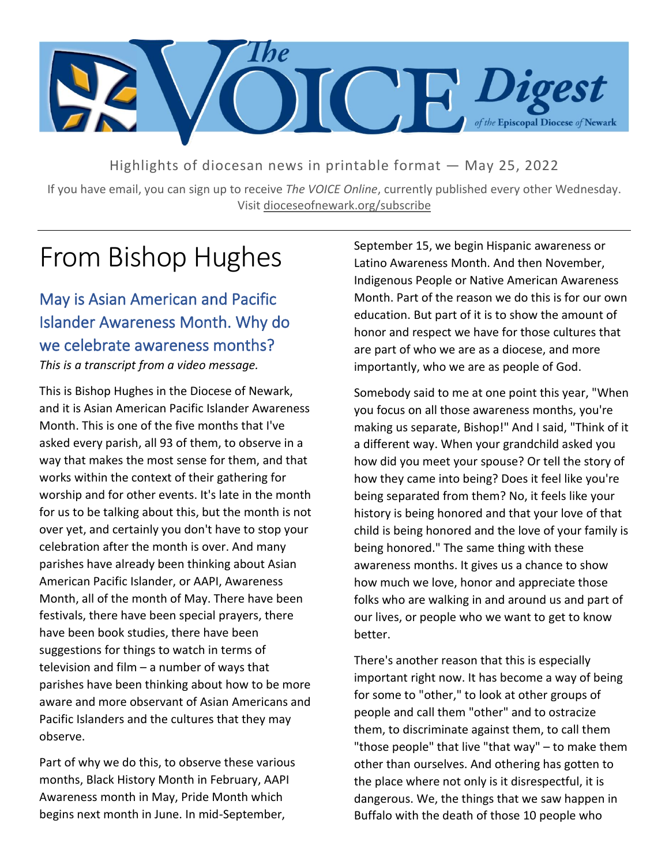

Highlights of diocesan news in printable format — May 25, 2022

If you have email, you can sign up to receive *The VOICE Online*, currently published every other Wednesday. Visit dioceseofnewark.org/subscribe

# From Bishop Hughes

May is Asian American and Pacific Islander Awareness Month. Why do we celebrate awareness months? *This is a transcript from a video message.*

This is Bishop Hughes in the Diocese of Newark, and it is Asian American Pacific Islander Awareness Month. This is one of the five months that I've asked every parish, all 93 of them, to observe in a way that makes the most sense for them, and that works within the context of their gathering for worship and for other events. It's late in the month for us to be talking about this, but the month is not over yet, and certainly you don't have to stop your celebration after the month is over. And many parishes have already been thinking about Asian American Pacific Islander, or AAPI, Awareness Month, all of the month of May. There have been festivals, there have been special prayers, there have been book studies, there have been suggestions for things to watch in terms of television and film – a number of ways that parishes have been thinking about how to be more aware and more observant of Asian Americans and Pacific Islanders and the cultures that they may observe.

Part of why we do this, to observe these various months, Black History Month in February, AAPI Awareness month in May, Pride Month which begins next month in June. In mid-September,

September 15, we begin Hispanic awareness or Latino Awareness Month. And then November, Indigenous People or Native American Awareness Month. Part of the reason we do this is for our own education. But part of it is to show the amount of honor and respect we have for those cultures that are part of who we are as a diocese, and more importantly, who we are as people of God.

Somebody said to me at one point this year, "When you focus on all those awareness months, you're making us separate, Bishop!" And I said, "Think of it a different way. When your grandchild asked you how did you meet your spouse? Or tell the story of how they came into being? Does it feel like you're being separated from them? No, it feels like your history is being honored and that your love of that child is being honored and the love of your family is being honored." The same thing with these awareness months. It gives us a chance to show how much we love, honor and appreciate those folks who are walking in and around us and part of our lives, or people who we want to get to know better.

There's another reason that this is especially important right now. It has become a way of being for some to "other," to look at other groups of people and call them "other" and to ostracize them, to discriminate against them, to call them "those people" that live "that way" – to make them other than ourselves. And othering has gotten to the place where not only is it disrespectful, it is dangerous. We, the things that we saw happen in Buffalo with the death of those 10 people who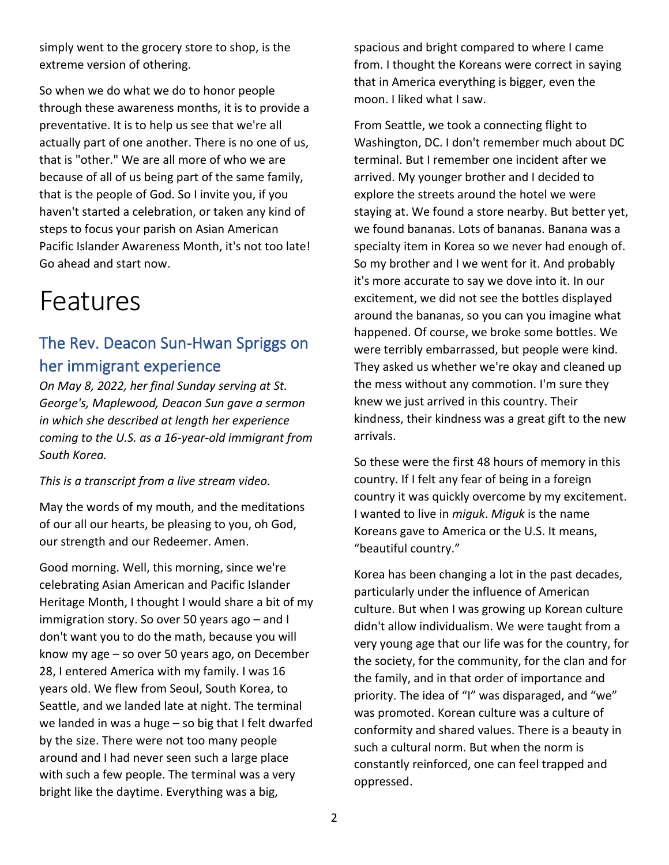simply went to the grocery store to shop, is the extreme version of othering.

So when we do what we do to honor people through these awareness months, it is to provide a preventative. It is to help us see that we're all actually part of one another. There is no one of us, that is "other." We are all more of who we are because of all of us being part of the same family, that is the people of God. So I invite you, if you haven't started a celebration, or taken any kind of steps to focus your parish on Asian American Pacific Islander Awareness Month, it's not too late! Go ahead and start now.

## Features

### The Rev. Deacon Sun-Hwan Spriggs on her immigrant experience

*On May 8, 2022, her final Sunday serving at St. George's, Maplewood, Deacon Sun gave a sermon in which she described at length her experience coming to the U.S. as a 16-year-old immigrant from South Korea.*

#### *This is a transcript from a live stream video.*

May the words of my mouth, and the meditations of our all our hearts, be pleasing to you, oh God, our strength and our Redeemer. Amen.

Good morning. Well, this morning, since we're celebrating Asian American and Pacific Islander Heritage Month, I thought I would share a bit of my immigration story. So over 50 years ago – and I don't want you to do the math, because you will know my age – so over 50 years ago, on December 28, I entered America with my family. I was 16 years old. We flew from Seoul, South Korea, to Seattle, and we landed late at night. The terminal we landed in was a huge – so big that I felt dwarfed by the size. There were not too many people around and I had never seen such a large place with such a few people. The terminal was a very bright like the daytime. Everything was a big,

spacious and bright compared to where I came from. I thought the Koreans were correct in saying that in America everything is bigger, even the moon. I liked what I saw.

From Seattle, we took a connecting flight to Washington, DC. I don't remember much about DC terminal. But I remember one incident after we arrived. My younger brother and I decided to explore the streets around the hotel we were staying at. We found a store nearby. But better yet, we found bananas. Lots of bananas. Banana was a specialty item in Korea so we never had enough of. So my brother and I we went for it. And probably it's more accurate to say we dove into it. In our excitement, we did not see the bottles displayed around the bananas, so you can you imagine what happened. Of course, we broke some bottles. We were terribly embarrassed, but people were kind. They asked us whether we're okay and cleaned up the mess without any commotion. I'm sure they knew we just arrived in this country. Their kindness, their kindness was a great gift to the new arrivals.

So these were the first 48 hours of memory in this country. If I felt any fear of being in a foreign country it was quickly overcome by my excitement. I wanted to live in *miguk*. *Miguk* is the name Koreans gave to America or the U.S. It means, "beautiful country."

Korea has been changing a lot in the past decades, particularly under the influence of American culture. But when I was growing up Korean culture didn't allow individualism. We were taught from a very young age that our life was for the country, for the society, for the community, for the clan and for the family, and in that order of importance and priority. The idea of "I" was disparaged, and "we" was promoted. Korean culture was a culture of conformity and shared values. There is a beauty in such a cultural norm. But when the norm is constantly reinforced, one can feel trapped and oppressed.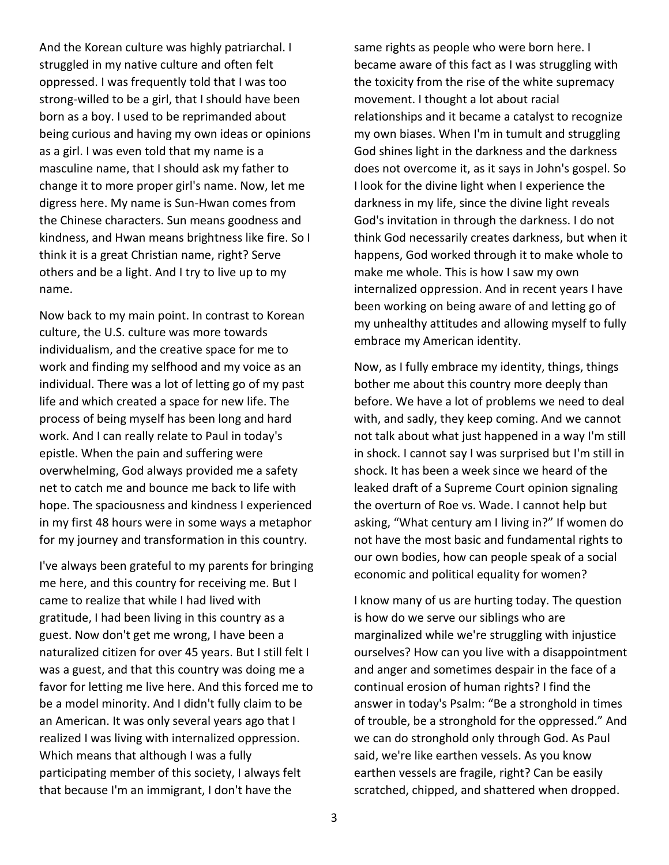And the Korean culture was highly patriarchal. I struggled in my native culture and often felt oppressed. I was frequently told that I was too strong-willed to be a girl, that I should have been born as a boy. I used to be reprimanded about being curious and having my own ideas or opinions as a girl. I was even told that my name is a masculine name, that I should ask my father to change it to more proper girl's name. Now, let me digress here. My name is Sun-Hwan comes from the Chinese characters. Sun means goodness and kindness, and Hwan means brightness like fire. So I think it is a great Christian name, right? Serve others and be a light. And I try to live up to my name.

Now back to my main point. In contrast to Korean culture, the U.S. culture was more towards individualism, and the creative space for me to work and finding my selfhood and my voice as an individual. There was a lot of letting go of my past life and which created a space for new life. The process of being myself has been long and hard work. And I can really relate to Paul in today's epistle. When the pain and suffering were overwhelming, God always provided me a safety net to catch me and bounce me back to life with hope. The spaciousness and kindness I experienced in my first 48 hours were in some ways a metaphor for my journey and transformation in this country.

I've always been grateful to my parents for bringing me here, and this country for receiving me. But I came to realize that while I had lived with gratitude, I had been living in this country as a guest. Now don't get me wrong, I have been a naturalized citizen for over 45 years. But I still felt I was a guest, and that this country was doing me a favor for letting me live here. And this forced me to be a model minority. And I didn't fully claim to be an American. It was only several years ago that I realized I was living with internalized oppression. Which means that although I was a fully participating member of this society, I always felt that because I'm an immigrant, I don't have the

same rights as people who were born here. I became aware of this fact as I was struggling with the toxicity from the rise of the white supremacy movement. I thought a lot about racial relationships and it became a catalyst to recognize my own biases. When I'm in tumult and struggling God shines light in the darkness and the darkness does not overcome it, as it says in John's gospel. So I look for the divine light when I experience the darkness in my life, since the divine light reveals God's invitation in through the darkness. I do not think God necessarily creates darkness, but when it happens, God worked through it to make whole to make me whole. This is how I saw my own internalized oppression. And in recent years I have been working on being aware of and letting go of my unhealthy attitudes and allowing myself to fully embrace my American identity.

Now, as I fully embrace my identity, things, things bother me about this country more deeply than before. We have a lot of problems we need to deal with, and sadly, they keep coming. And we cannot not talk about what just happened in a way I'm still in shock. I cannot say I was surprised but I'm still in shock. It has been a week since we heard of the leaked draft of a Supreme Court opinion signaling the overturn of Roe vs. Wade. I cannot help but asking, "What century am I living in?" If women do not have the most basic and fundamental rights to our own bodies, how can people speak of a social economic and political equality for women?

I know many of us are hurting today. The question is how do we serve our siblings who are marginalized while we're struggling with injustice ourselves? How can you live with a disappointment and anger and sometimes despair in the face of a continual erosion of human rights? I find the answer in today's Psalm: "Be a stronghold in times of trouble, be a stronghold for the oppressed." And we can do stronghold only through God. As Paul said, we're like earthen vessels. As you know earthen vessels are fragile, right? Can be easily scratched, chipped, and shattered when dropped.